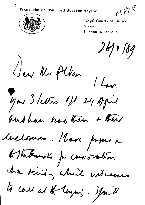MPLS



Royal Courts of Justice Strand London WC2A 2LL

 $261$ + 189

Jew Mr Alfon

 $1$  Lan you 3 letters of 24 April

and han had then & their

inciennes. Have passed on

Astakarals por carsidadion

ha kindly which witnesses

to call at the loyers. You il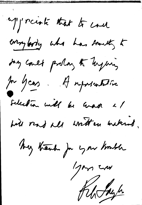approach that to cone comparty who has someth to Joy coult prolan to laying In years. A reposentative selection will be war a/ hill rad all written unknot. my thank for you known Igan cru Kliffe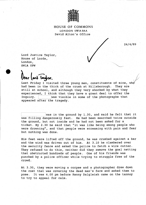

**HOUSE OF COMMONS** LONDON SWIA0AA David Alton's Office

24/4/89

Lord Justice Taylor, House of Lords, London, SW1A OPW

llear lord lawor.

Last Friday I visited three young men, constituents of mine, who had been in the thick of the crush at Hillsborough. They are still at school, and although they very shocked by what they experienced, I think that they have a great deal to offer the Inquiry. Iwas visible in some of the photographs that appeared after the tragedy.

was in the ground by 1.30, and said he felt that it was filling dangerously fast. He had been searched twice outside the ground, but not inside and he had not been asked for a ticket. By 2.30 he said that "it was like being among people who were drowning", and that people were screaming with pain and fear but nothing was done.

His feet were lifted off the ground, he was crushed against a bar and the wind was driven out of him. At 3.10 he clambered over the security fence and asked the police to fetch a wire cutter. They refused to do this, neither did they remove the goal netting that obstructed hundreds of people. One of his friends was punched by a police officer while trying to struggle free of the crowd.

At 3.30, they were moving a corpse and a photographer drew down the coat that was covering the dead man's face and asked them to pose. It was 4.00 pm before Kenny Dalgleish came on the tannoy to try to appeal for calm.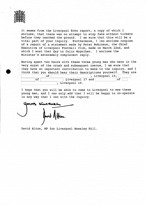

It seems from the Liverpool Echo report, a copy of which I enclose, that there was no attempt to stop fans without tickets before they reached the ground. I am sure that this will be a vital part of your Inquiry. Furthermore, I Iso enclose coopies of a report of a statement made by Peter Robinson, the Chief Executive of Liverpool Football Club, made on March 22nd, and which I snet that day to Colin Moynihan. I enclose the Minister's exteremely complacent reply.

Having spent two hours with these three young men who were in the very worst of the crush and subsequent rescue, I am sure that they have an important contribution to make to the inquiry, and I think that you should hear their descriptions yourself. They are  $\exists$  of  $\top$  $\lceil$  Liverpool 19:

| -- |                  | $22.722022 - 277$ |  |
|----|------------------|-------------------|--|
|    | Liverpool 17 and |                   |  |
|    | Liverpool 19.    |                   |  |
|    |                  |                   |  |

I hope that you will be able to come to Liverpool to see these young men, and I can only add that I will be happy to co-operate in any way that I can with the Inquiry.

ours sincen

David Alton, MP for Liverpool Mossley Hill.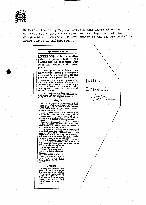

22 March: The Daily Express article that David Alton sent to Minister for Sport, Colin Moynihan, warning him that the management of Liverpool FC were uneasy at the FA cup semi-final being played at Hillsborough.

*DAILY* 

EXPRESS

22/3/89 ·

### **By JOHN KEITH**

**JJVERPOOI^ chief executive** Peter Robinson last night **Dlasted the FA over their Cup semi-final venue and ticket plans.**

" They appear to be living in an ivory tower showing a complete disregard for the fans who are the |ifeblood OjfT-he game," he declared.

The champions are furious over the PA's choice of Sheffield Wednesday's Hillsborough ground to stage their April 15 semi-final collision with Nottingham Forest for the second season running.

" Their decision is unjust and it means that many of our loyal supporters are going to miss out," rapped Robinson.

#### **Angry**

Although Liverpool's average Anfield<br>attendance of almost 38,000 is more than<br>17,000 higher than Forest's, the Mersey<br>club's ticket share is only 24,400 contrast-<br>ing with Forest's 28,000.

That 3,600 shortfall is caused by Forest fans being allocated the Kop end of Hillsborough on police advice to allow for access to the stadium from the South—a repeat of last season's arrangements.

But angry Robinson revealed: "I spoke<br>to the FA after the semi-final draw had<br>been made but before they had taken a decision on choice of venue.

" I told them that last year we accepted what had been decided. And I stressed we had no objection to Hillsborough as a ground, and that we must abide by any security measures laid down by the police.

" B ut I m ade it plain th at there was no way I could support the choice of H illsborough this year w ith the sam e ticket allocations applying.

An FA spokesman said :<br>"There is no question of<br>the venue being changed.<br>Liverpool contacted us<br>and we were aware of<br>their opinions before<br>the Challenge Cup the Challenge Cup<br>Committee made their choice.

#### **Choice**

" They take into account<br>
geographical location and<br>
They don't really look at<br>
average gates. Old<br>
Trafford and Maine Road<br>
were considered but<br>
Willsborough was the were consident<br>Hillsborough<br>choice."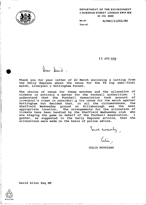#### DEPARTMENT OF THE ENVIRONMENT 2 MARSHAM STREET LONDON SW1P 3EB 01-276 3000



My ref: Your ref: **M/PSO/**11252/89

**11 APR 1989**

Thank you for your letter of 22 March enclosing a cutting from the Daily Express about the venue for the FA Cup semi-final match, Liverpool v Nottingham Forest.

Vear David

The choice of venue for these matches and the allocation of tickets is entirely a matter for the football authorities. I tickets is entirely a matter for the football authorities. I understand that the Football Association took Liverpool's views in considering the venue for the match against Nottingham but decided that, in all the circumstances, the Sheffield Wednesday ground at Hillsborough was the most appropriate location. The arrangements for the allocation of tickets have been handled by the Sheffield Wednesday club who are staging the game on behalf of the Football Association. I gather, as suggested in the Daily Express article, that the allocations were made on the basis of police advice.

Turs sincerely,

COLIN MOYNIHAN

David Alton Esq MP